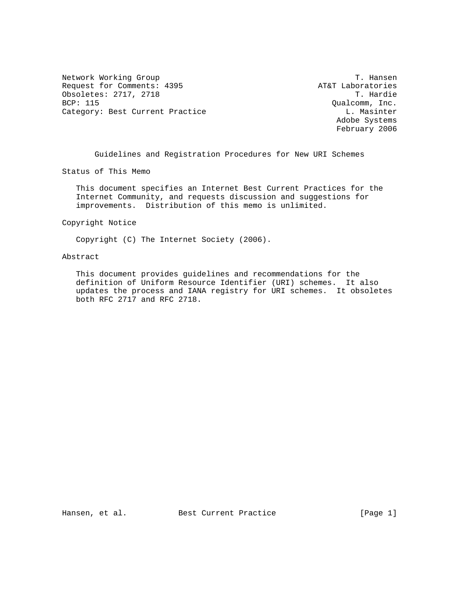Network Working Group T. Hansen Request for Comments: 4395 <br>
Obsoletes: 2717, 2718 <br>
T. Hardie Obsoletes: 2717, 2718 BCP: 115 Qualcomm, Inc. Category: Best Current Practice Category: Best Current Practice L. Masinter

 Adobe Systems February 2006

Guidelines and Registration Procedures for New URI Schemes

Status of This Memo

 This document specifies an Internet Best Current Practices for the Internet Community, and requests discussion and suggestions for improvements. Distribution of this memo is unlimited.

Copyright Notice

Copyright (C) The Internet Society (2006).

#### Abstract

 This document provides guidelines and recommendations for the definition of Uniform Resource Identifier (URI) schemes. It also updates the process and IANA registry for URI schemes. It obsoletes both RFC 2717 and RFC 2718.

Hansen, et al. Best Current Practice [Page 1]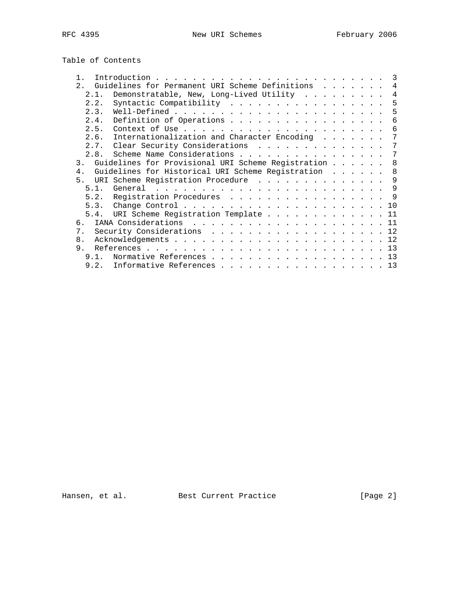Table of Contents

| $\mathbf{1}$   | 3                                                          |
|----------------|------------------------------------------------------------|
| 2.             | Guidelines for Permanent URI Scheme Definitions<br>4       |
| 2.1.           | Demonstratable, New, Long-Lived Utility $\cdots$           |
| 2.2.           | Syntactic Compatibility<br>5                               |
| 2.3.           | 5                                                          |
| 2.4.           | Definition of Operations<br>6                              |
| 2.5.           | 6                                                          |
| 2.6.           | Internationalization and Character Encoding<br>7           |
|                | 2.7. Clear Security Considerations<br>7                    |
| 2.8.           | Scheme Name Considerations<br>7                            |
|                | 3. Guidelines for Provisional URI Scheme Registration<br>8 |
| $4$ .          | Guidelines for Historical URI Scheme Registration<br>8     |
| 5 <sub>1</sub> | URI Scheme Registration Procedure 9                        |
|                | 9                                                          |
|                | 5.2. Registration Procedures 9                             |
|                |                                                            |
|                | 5.4. URI Scheme Registration Template 11                   |
| რ.             |                                                            |
| 7 <sub>1</sub> | Security Considerations 12                                 |
| 8 <sub>1</sub> |                                                            |
| 9.             |                                                            |
| 9 1            | Normative References 13                                    |
| 9.2.           | Informative References 13                                  |

Hansen, et al. Best Current Practice Fraction (Page 2)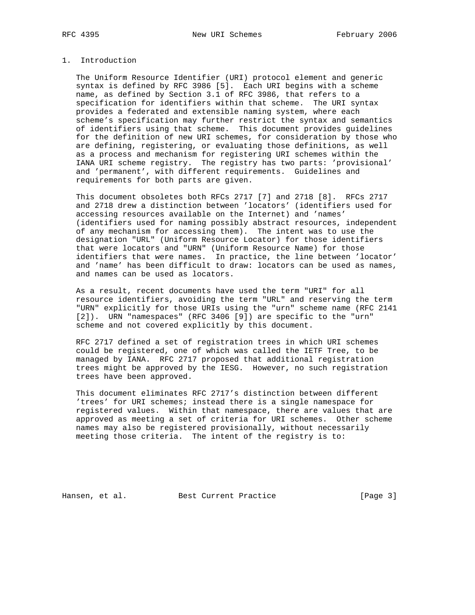### 1. Introduction

 The Uniform Resource Identifier (URI) protocol element and generic syntax is defined by RFC 3986 [5]. Each URI begins with a scheme name, as defined by Section 3.1 of RFC 3986, that refers to a specification for identifiers within that scheme. The URI syntax provides a federated and extensible naming system, where each scheme's specification may further restrict the syntax and semantics of identifiers using that scheme. This document provides guidelines for the definition of new URI schemes, for consideration by those who are defining, registering, or evaluating those definitions, as well as a process and mechanism for registering URI schemes within the IANA URI scheme registry. The registry has two parts: 'provisional' and 'permanent', with different requirements. Guidelines and requirements for both parts are given.

 This document obsoletes both RFCs 2717 [7] and 2718 [8]. RFCs 2717 and 2718 drew a distinction between 'locators' (identifiers used for accessing resources available on the Internet) and 'names' (identifiers used for naming possibly abstract resources, independent of any mechanism for accessing them). The intent was to use the designation "URL" (Uniform Resource Locator) for those identifiers that were locators and "URN" (Uniform Resource Name) for those identifiers that were names. In practice, the line between 'locator' and 'name' has been difficult to draw: locators can be used as names, and names can be used as locators.

 As a result, recent documents have used the term "URI" for all resource identifiers, avoiding the term "URL" and reserving the term "URN" explicitly for those URIs using the "urn" scheme name (RFC 2141 [2]). URN "namespaces" (RFC 3406 [9]) are specific to the "urn" scheme and not covered explicitly by this document.

 RFC 2717 defined a set of registration trees in which URI schemes could be registered, one of which was called the IETF Tree, to be managed by IANA. RFC 2717 proposed that additional registration trees might be approved by the IESG. However, no such registration trees have been approved.

 This document eliminates RFC 2717's distinction between different 'trees' for URI schemes; instead there is a single namespace for registered values. Within that namespace, there are values that are approved as meeting a set of criteria for URI schemes. Other scheme names may also be registered provisionally, without necessarily meeting those criteria. The intent of the registry is to:

Hansen, et al. Best Current Practice [Page 3]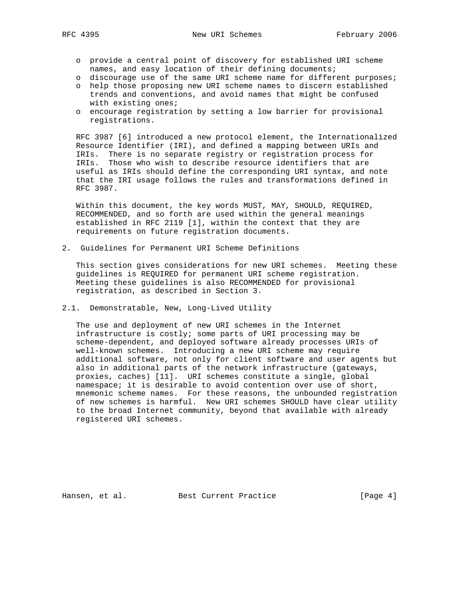- o provide a central point of discovery for established URI scheme names, and easy location of their defining documents;
- o discourage use of the same URI scheme name for different purposes;
- o help those proposing new URI scheme names to discern established trends and conventions, and avoid names that might be confused with existing ones;
- o encourage registration by setting a low barrier for provisional registrations.

 RFC 3987 [6] introduced a new protocol element, the Internationalized Resource Identifier (IRI), and defined a mapping between URIs and IRIs. There is no separate registry or registration process for IRIs. Those who wish to describe resource identifiers that are useful as IRIs should define the corresponding URI syntax, and note that the IRI usage follows the rules and transformations defined in RFC 3987.

 Within this document, the key words MUST, MAY, SHOULD, REQUIRED, RECOMMENDED, and so forth are used within the general meanings established in RFC 2119 [1], within the context that they are requirements on future registration documents.

2. Guidelines for Permanent URI Scheme Definitions

 This section gives considerations for new URI schemes. Meeting these guidelines is REQUIRED for permanent URI scheme registration. Meeting these guidelines is also RECOMMENDED for provisional registration, as described in Section 3.

2.1. Demonstratable, New, Long-Lived Utility

 The use and deployment of new URI schemes in the Internet infrastructure is costly; some parts of URI processing may be scheme-dependent, and deployed software already processes URIs of well-known schemes. Introducing a new URI scheme may require additional software, not only for client software and user agents but also in additional parts of the network infrastructure (gateways, proxies, caches) [11]. URI schemes constitute a single, global namespace; it is desirable to avoid contention over use of short, mnemonic scheme names. For these reasons, the unbounded registration of new schemes is harmful. New URI schemes SHOULD have clear utility to the broad Internet community, beyond that available with already registered URI schemes.

Hansen, et al. Best Current Practice [Page 4]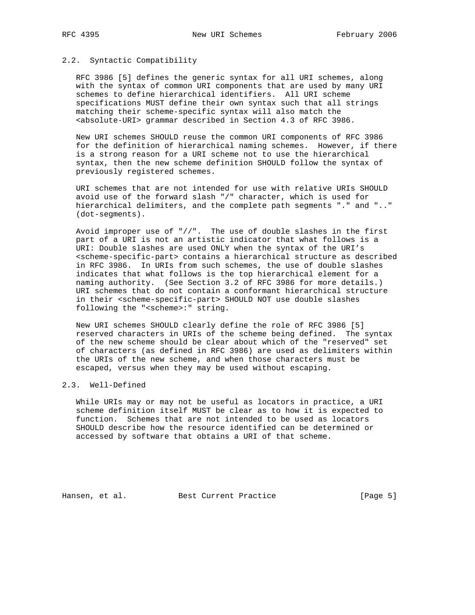#### 2.2. Syntactic Compatibility

 RFC 3986 [5] defines the generic syntax for all URI schemes, along with the syntax of common URI components that are used by many URI schemes to define hierarchical identifiers. All URI scheme specifications MUST define their own syntax such that all strings matching their scheme-specific syntax will also match the <absolute-URI> grammar described in Section 4.3 of RFC 3986.

 New URI schemes SHOULD reuse the common URI components of RFC 3986 for the definition of hierarchical naming schemes. However, if there is a strong reason for a URI scheme not to use the hierarchical syntax, then the new scheme definition SHOULD follow the syntax of previously registered schemes.

 URI schemes that are not intended for use with relative URIs SHOULD avoid use of the forward slash "/" character, which is used for hierarchical delimiters, and the complete path segments "." and ".." (dot-segments).

 Avoid improper use of "//". The use of double slashes in the first part of a URI is not an artistic indicator that what follows is a URI: Double slashes are used ONLY when the syntax of the URI's <scheme-specific-part> contains a hierarchical structure as described in RFC 3986. In URIs from such schemes, the use of double slashes indicates that what follows is the top hierarchical element for a naming authority. (See Section 3.2 of RFC 3986 for more details.) URI schemes that do not contain a conformant hierarchical structure in their <scheme-specific-part> SHOULD NOT use double slashes following the "<scheme>:" string.

 New URI schemes SHOULD clearly define the role of RFC 3986 [5] reserved characters in URIs of the scheme being defined. The syntax of the new scheme should be clear about which of the "reserved" set of characters (as defined in RFC 3986) are used as delimiters within the URIs of the new scheme, and when those characters must be escaped, versus when they may be used without escaping.

### 2.3. Well-Defined

 While URIs may or may not be useful as locators in practice, a URI scheme definition itself MUST be clear as to how it is expected to function. Schemes that are not intended to be used as locators SHOULD describe how the resource identified can be determined or accessed by software that obtains a URI of that scheme.

Hansen, et al. Best Current Practice [Page 5]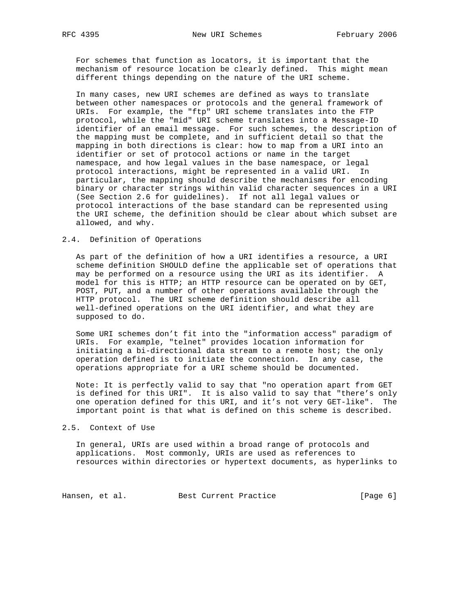For schemes that function as locators, it is important that the mechanism of resource location be clearly defined. This might mean different things depending on the nature of the URI scheme.

 In many cases, new URI schemes are defined as ways to translate between other namespaces or protocols and the general framework of URIs. For example, the "ftp" URI scheme translates into the FTP protocol, while the "mid" URI scheme translates into a Message-ID identifier of an email message. For such schemes, the description of the mapping must be complete, and in sufficient detail so that the mapping in both directions is clear: how to map from a URI into an identifier or set of protocol actions or name in the target namespace, and how legal values in the base namespace, or legal protocol interactions, might be represented in a valid URI. In particular, the mapping should describe the mechanisms for encoding binary or character strings within valid character sequences in a URI (See Section 2.6 for guidelines). If not all legal values or protocol interactions of the base standard can be represented using the URI scheme, the definition should be clear about which subset are allowed, and why.

#### 2.4. Definition of Operations

 As part of the definition of how a URI identifies a resource, a URI scheme definition SHOULD define the applicable set of operations that may be performed on a resource using the URI as its identifier. A model for this is HTTP; an HTTP resource can be operated on by GET, POST, PUT, and a number of other operations available through the HTTP protocol. The URI scheme definition should describe all well-defined operations on the URI identifier, and what they are supposed to do.

 Some URI schemes don't fit into the "information access" paradigm of URIs. For example, "telnet" provides location information for initiating a bi-directional data stream to a remote host; the only operation defined is to initiate the connection. In any case, the operations appropriate for a URI scheme should be documented.

 Note: It is perfectly valid to say that "no operation apart from GET is defined for this URI". It is also valid to say that "there's only one operation defined for this URI, and it's not very GET-like". The important point is that what is defined on this scheme is described.

2.5. Context of Use

 In general, URIs are used within a broad range of protocols and applications. Most commonly, URIs are used as references to resources within directories or hypertext documents, as hyperlinks to

Hansen, et al. Best Current Practice [Page 6]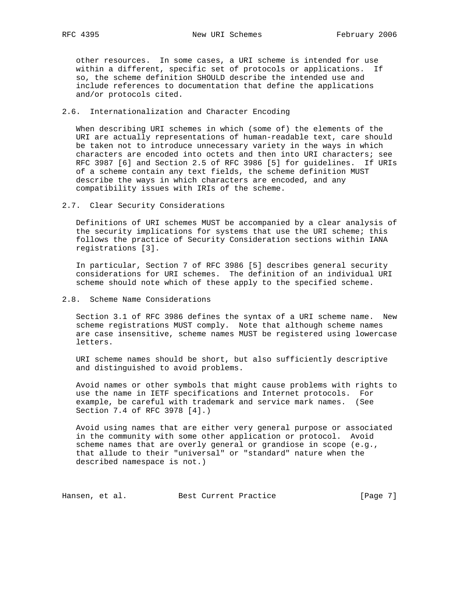other resources. In some cases, a URI scheme is intended for use within a different, specific set of protocols or applications. If so, the scheme definition SHOULD describe the intended use and include references to documentation that define the applications and/or protocols cited.

### 2.6. Internationalization and Character Encoding

 When describing URI schemes in which (some of) the elements of the URI are actually representations of human-readable text, care should be taken not to introduce unnecessary variety in the ways in which characters are encoded into octets and then into URI characters; see RFC 3987 [6] and Section 2.5 of RFC 3986 [5] for guidelines. If URIs of a scheme contain any text fields, the scheme definition MUST describe the ways in which characters are encoded, and any compatibility issues with IRIs of the scheme.

2.7. Clear Security Considerations

 Definitions of URI schemes MUST be accompanied by a clear analysis of the security implications for systems that use the URI scheme; this follows the practice of Security Consideration sections within IANA registrations [3].

 In particular, Section 7 of RFC 3986 [5] describes general security considerations for URI schemes. The definition of an individual URI scheme should note which of these apply to the specified scheme.

2.8. Scheme Name Considerations

 Section 3.1 of RFC 3986 defines the syntax of a URI scheme name. New scheme registrations MUST comply. Note that although scheme names are case insensitive, scheme names MUST be registered using lowercase letters.

 URI scheme names should be short, but also sufficiently descriptive and distinguished to avoid problems.

 Avoid names or other symbols that might cause problems with rights to use the name in IETF specifications and Internet protocols. For example, be careful with trademark and service mark names. (See Section 7.4 of RFC 3978 [4].)

 Avoid using names that are either very general purpose or associated in the community with some other application or protocol. Avoid scheme names that are overly general or grandiose in scope (e.g., that allude to their "universal" or "standard" nature when the described namespace is not.)

Hansen, et al. Best Current Practice [Page 7]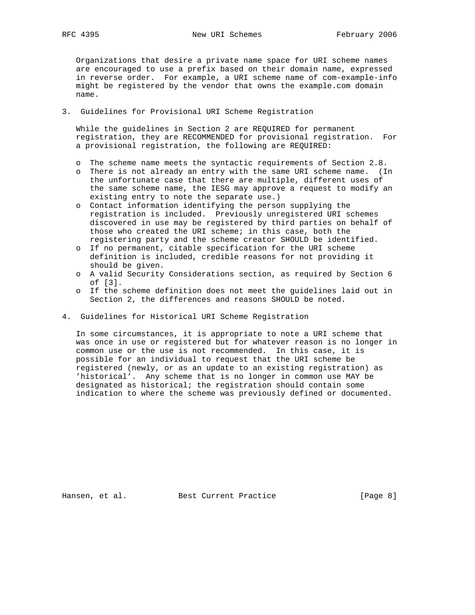Organizations that desire a private name space for URI scheme names are encouraged to use a prefix based on their domain name, expressed in reverse order. For example, a URI scheme name of com-example-info might be registered by the vendor that owns the example.com domain name.

### 3. Guidelines for Provisional URI Scheme Registration

 While the guidelines in Section 2 are REQUIRED for permanent registration, they are RECOMMENDED for provisional registration. For a provisional registration, the following are REQUIRED:

- o The scheme name meets the syntactic requirements of Section 2.8.
- o There is not already an entry with the same URI scheme name. (In the unfortunate case that there are multiple, different uses of the same scheme name, the IESG may approve a request to modify an existing entry to note the separate use.)
- o Contact information identifying the person supplying the registration is included. Previously unregistered URI schemes discovered in use may be registered by third parties on behalf of those who created the URI scheme; in this case, both the registering party and the scheme creator SHOULD be identified.
- o If no permanent, citable specification for the URI scheme definition is included, credible reasons for not providing it should be given.
- o A valid Security Considerations section, as required by Section 6 of [3].
- o If the scheme definition does not meet the guidelines laid out in Section 2, the differences and reasons SHOULD be noted.
- 4. Guidelines for Historical URI Scheme Registration

 In some circumstances, it is appropriate to note a URI scheme that was once in use or registered but for whatever reason is no longer in common use or the use is not recommended. In this case, it is possible for an individual to request that the URI scheme be registered (newly, or as an update to an existing registration) as 'historical'. Any scheme that is no longer in common use MAY be designated as historical; the registration should contain some indication to where the scheme was previously defined or documented.

Hansen, et al. Best Current Practice [Page 8]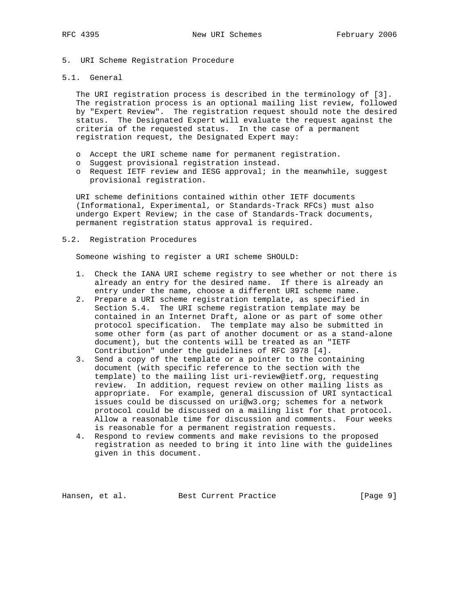- 5. URI Scheme Registration Procedure
- 5.1. General

 The URI registration process is described in the terminology of [3]. The registration process is an optional mailing list review, followed by "Expert Review". The registration request should note the desired status. The Designated Expert will evaluate the request against the criteria of the requested status. In the case of a permanent registration request, the Designated Expert may:

- o Accept the URI scheme name for permanent registration.
- o Suggest provisional registration instead.
- o Request IETF review and IESG approval; in the meanwhile, suggest provisional registration.

 URI scheme definitions contained within other IETF documents (Informational, Experimental, or Standards-Track RFCs) must also undergo Expert Review; in the case of Standards-Track documents, permanent registration status approval is required.

#### 5.2. Registration Procedures

Someone wishing to register a URI scheme SHOULD:

- 1. Check the IANA URI scheme registry to see whether or not there is already an entry for the desired name. If there is already an entry under the name, choose a different URI scheme name.
- 2. Prepare a URI scheme registration template, as specified in Section 5.4. The URI scheme registration template may be contained in an Internet Draft, alone or as part of some other protocol specification. The template may also be submitted in some other form (as part of another document or as a stand-alone document), but the contents will be treated as an "IETF Contribution" under the guidelines of RFC 3978 [4].
- 3. Send a copy of the template or a pointer to the containing document (with specific reference to the section with the template) to the mailing list uri-review@ietf.org, requesting review. In addition, request review on other mailing lists as appropriate. For example, general discussion of URI syntactical issues could be discussed on uri@w3.org; schemes for a network protocol could be discussed on a mailing list for that protocol. Allow a reasonable time for discussion and comments. Four weeks is reasonable for a permanent registration requests.
- 4. Respond to review comments and make revisions to the proposed registration as needed to bring it into line with the guidelines given in this document.

Hansen, et al. Best Current Practice [Page 9]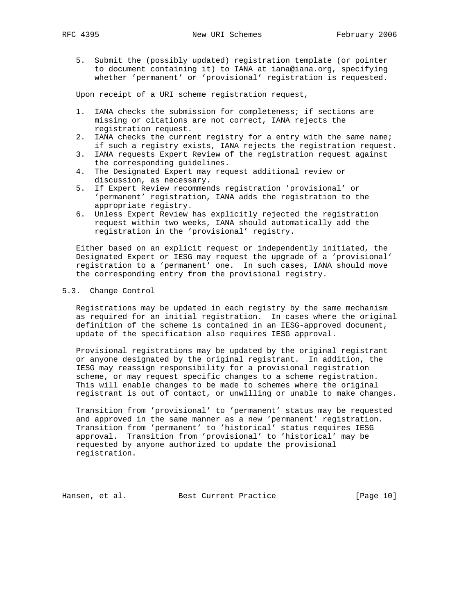5. Submit the (possibly updated) registration template (or pointer to document containing it) to IANA at iana@iana.org, specifying whether 'permanent' or 'provisional' registration is requested.

Upon receipt of a URI scheme registration request,

- 1. IANA checks the submission for completeness; if sections are missing or citations are not correct, IANA rejects the registration request.
- 2. IANA checks the current registry for a entry with the same name; if such a registry exists, IANA rejects the registration request.
- 3. IANA requests Expert Review of the registration request against the corresponding guidelines.
- 4. The Designated Expert may request additional review or discussion, as necessary.
- 5. If Expert Review recommends registration 'provisional' or 'permanent' registration, IANA adds the registration to the appropriate registry.
- 6. Unless Expert Review has explicitly rejected the registration request within two weeks, IANA should automatically add the registration in the 'provisional' registry.

 Either based on an explicit request or independently initiated, the Designated Expert or IESG may request the upgrade of a 'provisional' registration to a 'permanent' one. In such cases, IANA should move the corresponding entry from the provisional registry.

#### 5.3. Change Control

 Registrations may be updated in each registry by the same mechanism as required for an initial registration. In cases where the original definition of the scheme is contained in an IESG-approved document, update of the specification also requires IESG approval.

 Provisional registrations may be updated by the original registrant or anyone designated by the original registrant. In addition, the IESG may reassign responsibility for a provisional registration scheme, or may request specific changes to a scheme registration. This will enable changes to be made to schemes where the original registrant is out of contact, or unwilling or unable to make changes.

 Transition from 'provisional' to 'permanent' status may be requested and approved in the same manner as a new 'permanent' registration. Transition from 'permanent' to 'historical' status requires IESG approval. Transition from 'provisional' to 'historical' may be requested by anyone authorized to update the provisional registration.

Hansen, et al. Best Current Practice [Page 10]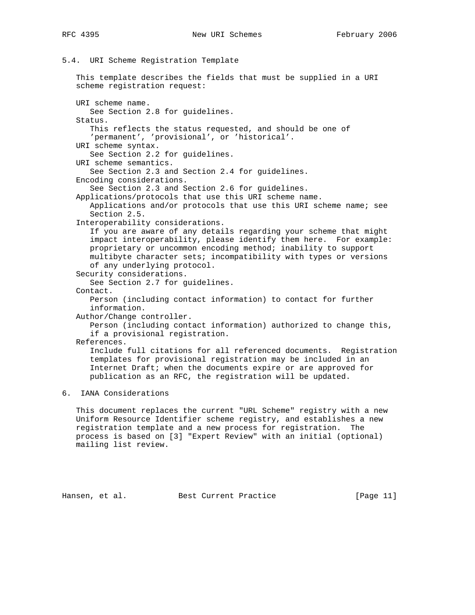# 5.4. URI Scheme Registration Template

 This template describes the fields that must be supplied in a URI scheme registration request: URI scheme name. See Section 2.8 for guidelines. Status. This reflects the status requested, and should be one of 'permanent', 'provisional', or 'historical'. URI scheme syntax. See Section 2.2 for guidelines. URI scheme semantics. See Section 2.3 and Section 2.4 for guidelines. Encoding considerations. See Section 2.3 and Section 2.6 for guidelines. Applications/protocols that use this URI scheme name. Applications and/or protocols that use this URI scheme name; see Section 2.5. Interoperability considerations. If you are aware of any details regarding your scheme that might impact interoperability, please identify them here. For example: proprietary or uncommon encoding method; inability to support multibyte character sets; incompatibility with types or versions of any underlying protocol. Security considerations. See Section 2.7 for guidelines. Contact. Person (including contact information) to contact for further information. Author/Change controller. Person (including contact information) authorized to change this, if a provisional registration. References. Include full citations for all referenced documents. Registration templates for provisional registration may be included in an Internet Draft; when the documents expire or are approved for publication as an RFC, the registration will be updated. 6. IANA Considerations This document replaces the current "URL Scheme" registry with a new

 Uniform Resource Identifier scheme registry, and establishes a new registration template and a new process for registration. The process is based on [3] "Expert Review" with an initial (optional) mailing list review.

Hansen, et al. Best Current Practice [Page 11]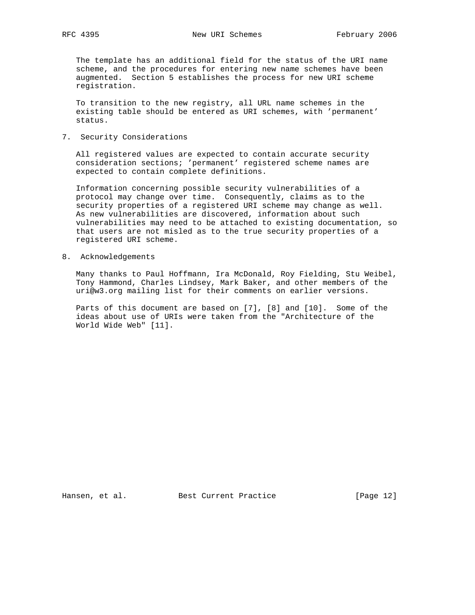The template has an additional field for the status of the URI name scheme, and the procedures for entering new name schemes have been augmented. Section 5 establishes the process for new URI scheme registration.

 To transition to the new registry, all URL name schemes in the existing table should be entered as URI schemes, with 'permanent' status.

7. Security Considerations

 All registered values are expected to contain accurate security consideration sections; 'permanent' registered scheme names are expected to contain complete definitions.

 Information concerning possible security vulnerabilities of a protocol may change over time. Consequently, claims as to the security properties of a registered URI scheme may change as well. As new vulnerabilities are discovered, information about such vulnerabilities may need to be attached to existing documentation, so that users are not misled as to the true security properties of a registered URI scheme.

8. Acknowledgements

 Many thanks to Paul Hoffmann, Ira McDonald, Roy Fielding, Stu Weibel, Tony Hammond, Charles Lindsey, Mark Baker, and other members of the uri@w3.org mailing list for their comments on earlier versions.

 Parts of this document are based on [7], [8] and [10]. Some of the ideas about use of URIs were taken from the "Architecture of the World Wide Web" [11].

Hansen, et al. Best Current Practice [Page 12]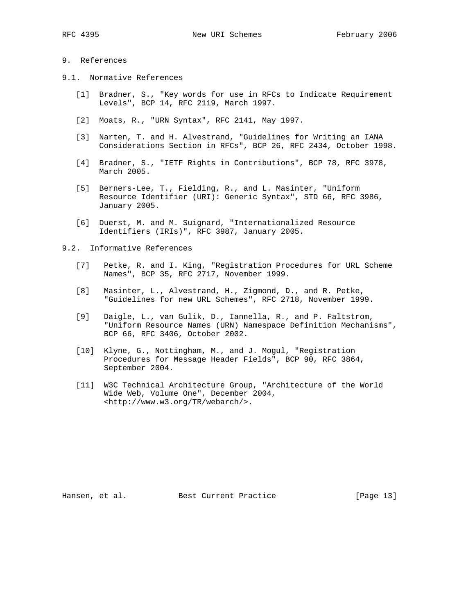## 9. References

- 9.1. Normative References
	- [1] Bradner, S., "Key words for use in RFCs to Indicate Requirement Levels", BCP 14, RFC 2119, March 1997.
	- [2] Moats, R., "URN Syntax", RFC 2141, May 1997.
	- [3] Narten, T. and H. Alvestrand, "Guidelines for Writing an IANA Considerations Section in RFCs", BCP 26, RFC 2434, October 1998.
	- [4] Bradner, S., "IETF Rights in Contributions", BCP 78, RFC 3978, March 2005.
	- [5] Berners-Lee, T., Fielding, R., and L. Masinter, "Uniform Resource Identifier (URI): Generic Syntax", STD 66, RFC 3986, January 2005.
	- [6] Duerst, M. and M. Suignard, "Internationalized Resource Identifiers (IRIs)", RFC 3987, January 2005.
- 9.2. Informative References
	- [7] Petke, R. and I. King, "Registration Procedures for URL Scheme Names", BCP 35, RFC 2717, November 1999.
	- [8] Masinter, L., Alvestrand, H., Zigmond, D., and R. Petke, "Guidelines for new URL Schemes", RFC 2718, November 1999.
	- [9] Daigle, L., van Gulik, D., Iannella, R., and P. Faltstrom, "Uniform Resource Names (URN) Namespace Definition Mechanisms", BCP 66, RFC 3406, October 2002.
	- [10] Klyne, G., Nottingham, M., and J. Mogul, "Registration Procedures for Message Header Fields", BCP 90, RFC 3864, September 2004.
	- [11] W3C Technical Architecture Group, "Architecture of the World Wide Web, Volume One", December 2004, <http://www.w3.org/TR/webarch/>.

Hansen, et al. Best Current Practice [Page 13]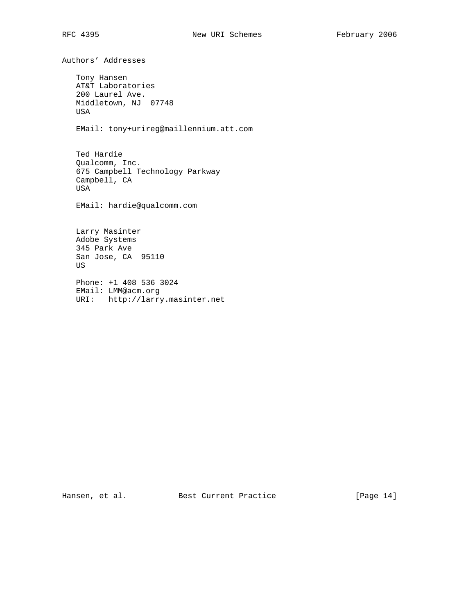Authors' Addresses Tony Hansen AT&T Laboratories 200 Laurel Ave. Middletown, NJ 07748 USA EMail: tony+urireg@maillennium.att.com Ted Hardie Qualcomm, Inc. 675 Campbell Technology Parkway Campbell, CA USA EMail: hardie@qualcomm.com Larry Masinter Adobe Systems 345 Park Ave San Jose, CA 95110 US Phone: +1 408 536 3024 EMail: LMM@acm.org URI: http://larry.masinter.net

Hansen, et al. Best Current Practice [Page 14]